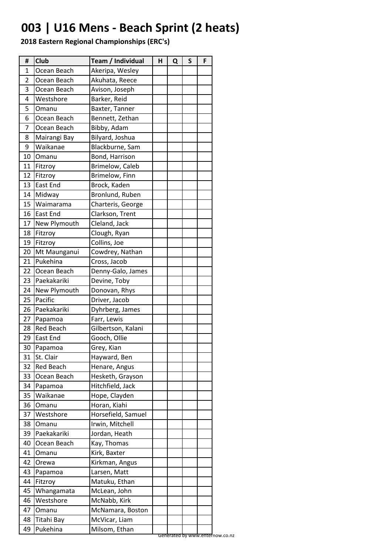# **003 | U16 Mens - Beach Sprint (2 heats)**

| #  | <b>Club</b>      | Team / Individual  | Н | Q | S | F                               |  |
|----|------------------|--------------------|---|---|---|---------------------------------|--|
| 1  | Ocean Beach      | Akeripa, Wesley    |   |   |   |                                 |  |
| 2  | Ocean Beach      | Akuhata, Reece     |   |   |   |                                 |  |
| 3  | Ocean Beach      | Avison, Joseph     |   |   |   |                                 |  |
| 4  | Westshore        | Barker, Reid       |   |   |   |                                 |  |
| 5  | Omanu            | Baxter, Tanner     |   |   |   |                                 |  |
| 6  | Ocean Beach      | Bennett, Zethan    |   |   |   |                                 |  |
| 7  | Ocean Beach      | Bibby, Adam        |   |   |   |                                 |  |
| 8  | Mairangi Bay     | Bilyard, Joshua    |   |   |   |                                 |  |
| 9  | Waikanae         | Blackburne, Sam    |   |   |   |                                 |  |
| 10 | Omanu            | Bond, Harrison     |   |   |   |                                 |  |
| 11 | Fitzroy          | Brimelow, Caleb    |   |   |   |                                 |  |
| 12 | Fitzroy          | Brimelow, Finn     |   |   |   |                                 |  |
| 13 | East End         | Brock, Kaden       |   |   |   |                                 |  |
| 14 | Midway           | Bronlund, Ruben    |   |   |   |                                 |  |
| 15 | Waimarama        | Charteris, George  |   |   |   |                                 |  |
| 16 | <b>East End</b>  | Clarkson, Trent    |   |   |   |                                 |  |
| 17 | New Plymouth     | Cleland, Jack      |   |   |   |                                 |  |
| 18 | Fitzroy          | Clough, Ryan       |   |   |   |                                 |  |
| 19 | Fitzroy          | Collins, Joe       |   |   |   |                                 |  |
| 20 | Mt Maunganui     | Cowdrey, Nathan    |   |   |   |                                 |  |
| 21 | Pukehina         | Cross, Jacob       |   |   |   |                                 |  |
| 22 | Ocean Beach      | Denny-Galo, James  |   |   |   |                                 |  |
| 23 | Paekakariki      | Devine, Toby       |   |   |   |                                 |  |
| 24 | New Plymouth     | Donovan, Rhys      |   |   |   |                                 |  |
| 25 | Pacific          | Driver, Jacob      |   |   |   |                                 |  |
| 26 | Paekakariki      | Dyhrberg, James    |   |   |   |                                 |  |
| 27 | Papamoa          | Farr, Lewis        |   |   |   |                                 |  |
| 28 | <b>Red Beach</b> | Gilbertson, Kalani |   |   |   |                                 |  |
| 29 | East End         | Gooch, Ollie       |   |   |   |                                 |  |
| 30 | Papamoa          | Grey, Kian         |   |   |   |                                 |  |
| 31 | St. Clair        | Hayward, Ben       |   |   |   |                                 |  |
| 32 | <b>Red Beach</b> | Henare, Angus      |   |   |   |                                 |  |
| 33 | Ocean Beach      | Hesketh, Grayson   |   |   |   |                                 |  |
| 34 | Papamoa          | Hitchfield, Jack   |   |   |   |                                 |  |
| 35 | Waikanae         | Hope, Clayden      |   |   |   |                                 |  |
| 36 | Omanu            | Horan, Kiahi       |   |   |   |                                 |  |
| 37 | Westshore        | Horsefield, Samuel |   |   |   |                                 |  |
| 38 | Omanu            | Irwin, Mitchell    |   |   |   |                                 |  |
| 39 | Paekakariki      | Jordan, Heath      |   |   |   |                                 |  |
| 40 | Ocean Beach      | Kay, Thomas        |   |   |   |                                 |  |
| 41 | Omanu            | Kirk, Baxter       |   |   |   |                                 |  |
| 42 | Orewa            | Kirkman, Angus     |   |   |   |                                 |  |
| 43 |                  | Larsen, Matt       |   |   |   |                                 |  |
| 44 | Papamoa          |                    |   |   |   |                                 |  |
|    | Fitzroy          | Matuku, Ethan      |   |   |   |                                 |  |
| 45 | Whangamata       | McLean, John       |   |   |   |                                 |  |
| 46 | Westshore        | McNabb, Kirk       |   |   |   |                                 |  |
| 47 | Omanu            | McNamara, Boston   |   |   |   |                                 |  |
| 48 | Titahi Bay       | McVicar, Liam      |   |   |   |                                 |  |
| 49 | Pukehina         | Milsom, Ethan      |   |   |   | Generated by www.enternow.co.nz |  |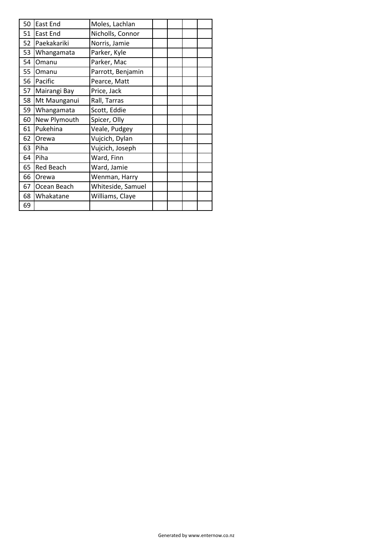| 50 | <b>East End</b>                   | Moles, Lachlan    |  |  |  |  |
|----|-----------------------------------|-------------------|--|--|--|--|
| 51 | East End                          | Nicholls, Connor  |  |  |  |  |
| 52 | Paekakariki                       | Norris, Jamie     |  |  |  |  |
| 53 | Whangamata                        | Parker, Kyle      |  |  |  |  |
| 54 | Omanu                             | Parker, Mac       |  |  |  |  |
| 55 | Parrott, Benjamin<br><b>Omanu</b> |                   |  |  |  |  |
| 56 | Pacific                           | Pearce, Matt      |  |  |  |  |
| 57 | Mairangi Bay                      | Price, Jack       |  |  |  |  |
| 58 | Mt Maunganui                      | Rall, Tarras      |  |  |  |  |
| 59 | Whangamata                        | Scott, Eddie      |  |  |  |  |
| 60 | New Plymouth                      | Spicer, Olly      |  |  |  |  |
| 61 | Pukehina                          | Veale, Pudgey     |  |  |  |  |
| 62 | Orewa                             | Vujcich, Dylan    |  |  |  |  |
| 63 | Piha                              | Vujcich, Joseph   |  |  |  |  |
| 64 | Piha                              | Ward, Finn        |  |  |  |  |
| 65 | <b>Red Beach</b>                  | Ward, Jamie       |  |  |  |  |
| 66 | Orewa                             | Wenman, Harry     |  |  |  |  |
| 67 | Ocean Beach                       | Whiteside, Samuel |  |  |  |  |
| 68 | Whakatane                         | Williams, Claye   |  |  |  |  |
| 69 |                                   |                   |  |  |  |  |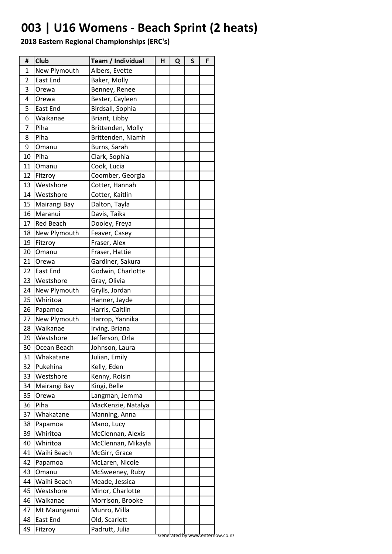# **003 | U16 Womens - Beach Sprint (2 heats)**

| #  | Club             | Team / Individual  | н | Q | $\mathsf{s}$ | F |
|----|------------------|--------------------|---|---|--------------|---|
| 1  | New Plymouth     | Albers, Evette     |   |   |              |   |
| 2  | East End         | Baker, Molly       |   |   |              |   |
| 3  | Orewa            | Benney, Renee      |   |   |              |   |
| 4  | Orewa            | Bester, Cayleen    |   |   |              |   |
| 5  | East End         | Birdsall, Sophia   |   |   |              |   |
| 6  | Waikanae         | Briant, Libby      |   |   |              |   |
| 7  | Piha             | Brittenden, Molly  |   |   |              |   |
| 8  | Piha             | Brittenden, Niamh  |   |   |              |   |
| 9  | Omanu            | Burns, Sarah       |   |   |              |   |
| 10 | Piha             | Clark, Sophia      |   |   |              |   |
| 11 | Omanu            | Cook, Lucia        |   |   |              |   |
| 12 | Fitzroy          | Coomber, Georgia   |   |   |              |   |
| 13 | Westshore        | Cotter, Hannah     |   |   |              |   |
| 14 | Westshore        | Cotter, Kaitlin    |   |   |              |   |
| 15 | Mairangi Bay     | Dalton, Tayla      |   |   |              |   |
| 16 | Maranui          | Davis, Taika       |   |   |              |   |
| 17 | <b>Red Beach</b> | Dooley, Freya      |   |   |              |   |
| 18 | New Plymouth     | Feaver, Casey      |   |   |              |   |
| 19 | Fitzroy          | Fraser, Alex       |   |   |              |   |
| 20 | Omanu            | Fraser, Hattie     |   |   |              |   |
| 21 | Orewa            | Gardiner, Sakura   |   |   |              |   |
| 22 | <b>East End</b>  | Godwin, Charlotte  |   |   |              |   |
| 23 | Westshore        | Gray, Olivia       |   |   |              |   |
| 24 | New Plymouth     | Grylls, Jordan     |   |   |              |   |
| 25 | Whiritoa         | Hanner, Jayde      |   |   |              |   |
| 26 | Papamoa          | Harris, Caitlin    |   |   |              |   |
| 27 | New Plymouth     | Harrop, Yannika    |   |   |              |   |
| 28 | Waikanae         | Irving, Briana     |   |   |              |   |
| 29 | Westshore        | Jefferson, Orla    |   |   |              |   |
| 30 | Ocean Beach      | Johnson, Laura     |   |   |              |   |
| 31 | Whakatane        | Julian, Emily      |   |   |              |   |
| 32 | Pukehina         | Kelly, Eden        |   |   |              |   |
| 33 | Westshore        | Kenny, Roisin      |   |   |              |   |
| 34 | Mairangi Bay     | Kingi, Belle       |   |   |              |   |
| 35 | Orewa            | Langman, Jemma     |   |   |              |   |
| 36 | Piha             | MacKenzie, Natalya |   |   |              |   |
| 37 | Whakatane        | Manning, Anna      |   |   |              |   |
| 38 | Papamoa          | Mano, Lucy         |   |   |              |   |
| 39 | Whiritoa         | McClennan, Alexis  |   |   |              |   |
| 40 | Whiritoa         | McClennan, Mikayla |   |   |              |   |
| 41 | Waihi Beach      | McGirr, Grace      |   |   |              |   |
| 42 | Papamoa          | McLaren, Nicole    |   |   |              |   |
| 43 | Omanu            | McSweeney, Ruby    |   |   |              |   |
| 44 | Waihi Beach      | Meade, Jessica     |   |   |              |   |
| 45 | Westshore        | Minor, Charlotte   |   |   |              |   |
| 46 | Waikanae         | Morrison, Brooke   |   |   |              |   |
| 47 | Mt Maunganui     | Munro, Milla       |   |   |              |   |
|    | East End         | Old, Scarlett      |   |   |              |   |
| 48 |                  |                    |   |   |              |   |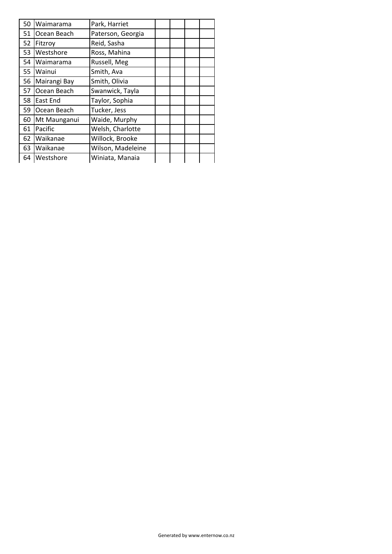| 50 | Waimarama        | Park, Harriet     |  |  |
|----|------------------|-------------------|--|--|
| 51 | Ocean Beach      | Paterson, Georgia |  |  |
| 52 | Fitzroy          | Reid, Sasha       |  |  |
| 53 | <b>Westshore</b> | Ross, Mahina      |  |  |
| 54 | Waimarama        | Russell, Meg      |  |  |
| 55 | <b>Wainui</b>    | Smith, Ava        |  |  |
| 56 | Mairangi Bay     | Smith, Olivia     |  |  |
| 57 | Ocean Beach      | Swanwick, Tayla   |  |  |
| 58 | <b>East End</b>  | Taylor, Sophia    |  |  |
| 59 | Ocean Beach      | Tucker, Jess      |  |  |
| 60 | Mt Maunganui     | Waide, Murphy     |  |  |
| 61 | Pacific          | Welsh, Charlotte  |  |  |
| 62 | Waikanae         | Willock, Brooke   |  |  |
| 63 | Waikanae         | Wilson, Madeleine |  |  |
|    | 64   Westshore   | Winiata, Manaia   |  |  |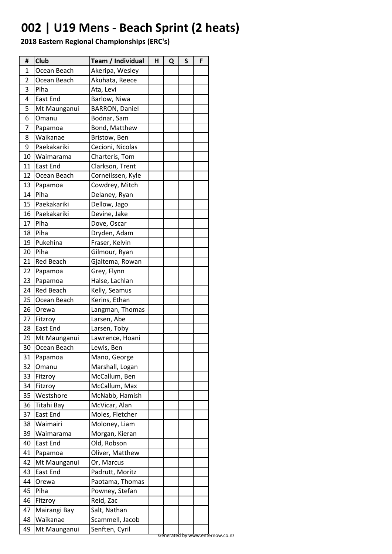# **002 | U19 Mens - Beach Sprint (2 heats)**

| #              | <b>Club</b>      | Team / Individual     | н | Q | S | F |
|----------------|------------------|-----------------------|---|---|---|---|
| 1              | Ocean Beach      | Akeripa, Wesley       |   |   |   |   |
| $\overline{2}$ | Ocean Beach      | Akuhata, Reece        |   |   |   |   |
| 3              | Piha             | Ata, Levi             |   |   |   |   |
| 4              | <b>East End</b>  | Barlow, Niwa          |   |   |   |   |
| 5              | Mt Maunganui     | <b>BARRON, Daniel</b> |   |   |   |   |
| 6              | Omanu            | Bodnar, Sam           |   |   |   |   |
| 7              | Papamoa          | Bond, Matthew         |   |   |   |   |
| 8              | Waikanae         | Bristow, Ben          |   |   |   |   |
| 9              | Paekakariki      | Cecioni, Nicolas      |   |   |   |   |
| 10             | Waimarama        | Charteris, Tom        |   |   |   |   |
| 11             | <b>East End</b>  | Clarkson, Trent       |   |   |   |   |
| 12             | Ocean Beach      | Corneilssen, Kyle     |   |   |   |   |
| 13             | Papamoa          | Cowdrey, Mitch        |   |   |   |   |
| 14             | Piha             | Delaney, Ryan         |   |   |   |   |
| 15             | Paekakariki      | Dellow, Jago          |   |   |   |   |
| 16             | Paekakariki      | Devine, Jake          |   |   |   |   |
| 17             | Piha             | Dove, Oscar           |   |   |   |   |
| 18             | Piha             | Dryden, Adam          |   |   |   |   |
| 19             | Pukehina         | Fraser, Kelvin        |   |   |   |   |
| 20             | <b>Piha</b>      | Gilmour, Ryan         |   |   |   |   |
| 21             | <b>Red Beach</b> | Gjaltema, Rowan       |   |   |   |   |
| 22             | Papamoa          | Grey, Flynn           |   |   |   |   |
| 23             | Papamoa          | Halse, Lachlan        |   |   |   |   |
| 24             | <b>Red Beach</b> | Kelly, Seamus         |   |   |   |   |
| 25             | Ocean Beach      | Kerins, Ethan         |   |   |   |   |
| 26             | <b>Orewa</b>     | Langman, Thomas       |   |   |   |   |
| 27             | Fitzroy          | Larsen, Abe           |   |   |   |   |
| 28             | <b>East End</b>  | Larsen, Toby          |   |   |   |   |
| 29             | Mt Maunganui     | Lawrence, Hoani       |   |   |   |   |
| 30             | Ocean Beach      | Lewis, Ben            |   |   |   |   |
| 31             | Papamoa          | Mano, George          |   |   |   |   |
| 32             | Omanu            | Marshall, Logan       |   |   |   |   |
| 33             | Fitzroy          | McCallum, Ben         |   |   |   |   |
| 34             | Fitzroy          | McCallum, Max         |   |   |   |   |
| 35             | Westshore        | McNabb, Hamish        |   |   |   |   |
| 36             | Titahi Bay       | McVicar, Alan         |   |   |   |   |
| 37             | East End         | Moles, Fletcher       |   |   |   |   |
| 38             | Waimairi         | Moloney, Liam         |   |   |   |   |
| 39             | Waimarama        | Morgan, Kieran        |   |   |   |   |
| 40             | East End         | Old, Robson           |   |   |   |   |
| 41             | Papamoa          | Oliver, Matthew       |   |   |   |   |
| 42             | Mt Maunganui     | Or, Marcus            |   |   |   |   |
| 43             | East End         | Padrutt, Moritz       |   |   |   |   |
| 44             | Orewa            | Paotama, Thomas       |   |   |   |   |
| 45             | Piha             | Powney, Stefan        |   |   |   |   |
| 46             | Fitzroy          | Reid, Zac             |   |   |   |   |
| 47             | Mairangi Bay     | Salt, Nathan          |   |   |   |   |
| 48             | Waikanae         | Scammell, Jacob       |   |   |   |   |
| 49             | Mt Maunganui     | Senften, Cyril        |   |   |   |   |
|                |                  |                       |   |   |   |   |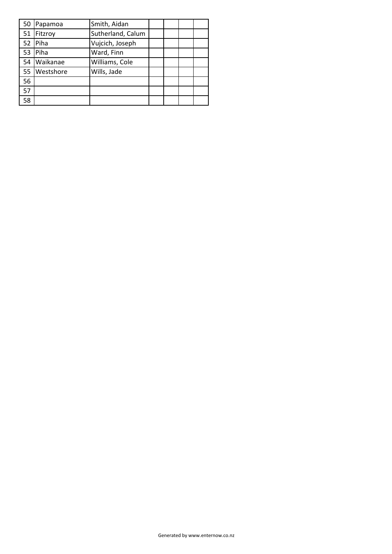| Papamoa  | Smith, Aidan         |  |  |
|----------|----------------------|--|--|
|          | Sutherland, Calum    |  |  |
| Piha     | Vujcich, Joseph      |  |  |
| Piha     | Ward, Finn           |  |  |
| Waikanae | Williams, Cole       |  |  |
|          | Wills, Jade          |  |  |
|          |                      |  |  |
|          |                      |  |  |
|          |                      |  |  |
|          | Fitzroy<br>Westshore |  |  |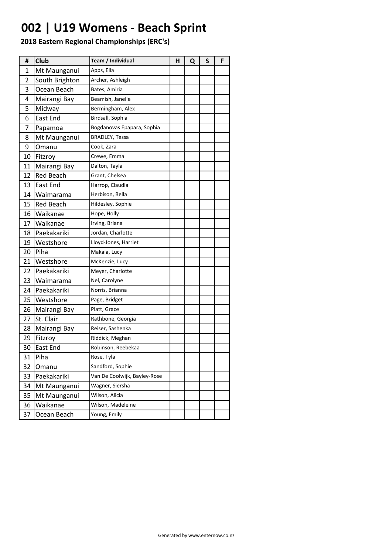### **002 | U19 Womens - Beach Sprint**

| Ħ  | <b>Club</b>      | Team / Individual            | н | Q | S | F |
|----|------------------|------------------------------|---|---|---|---|
| 1  | Mt Maunganui     | Apps, Ella                   |   |   |   |   |
| 2  | South Brighton   | Archer, Ashleigh             |   |   |   |   |
| 3  | Ocean Beach      | Bates, Amiria                |   |   |   |   |
| 4  | Mairangi Bay     | Beamish, Janelle             |   |   |   |   |
| 5  | Midway           | Bermingham, Alex             |   |   |   |   |
| 6  | East End         | Birdsall, Sophia             |   |   |   |   |
| 7  | Papamoa          | Bogdanovas Epapara, Sophia   |   |   |   |   |
| 8  | Mt Maunganui     | <b>BRADLEY, Tessa</b>        |   |   |   |   |
| 9  | Omanu            | Cook, Zara                   |   |   |   |   |
| 10 | Fitzroy          | Crewe, Emma                  |   |   |   |   |
| 11 | Mairangi Bay     | Dalton, Tayla                |   |   |   |   |
| 12 | <b>Red Beach</b> | Grant, Chelsea               |   |   |   |   |
| 13 | East End         | Harrop, Claudia              |   |   |   |   |
| 14 | Waimarama        | Herbison, Bella              |   |   |   |   |
| 15 | <b>Red Beach</b> | Hildesley, Sophie            |   |   |   |   |
| 16 | Waikanae         | Hope, Holly                  |   |   |   |   |
| 17 | Waikanae         | Irving, Briana               |   |   |   |   |
| 18 | Paekakariki      | Jordan, Charlotte            |   |   |   |   |
| 19 | Westshore        | Lloyd-Jones, Harriet         |   |   |   |   |
| 20 | Piha             | Makaia, Lucy                 |   |   |   |   |
| 21 | Westshore        | McKenzie, Lucy               |   |   |   |   |
| 22 | Paekakariki      | Meyer, Charlotte             |   |   |   |   |
| 23 | Waimarama        | Nel, Carolyne                |   |   |   |   |
| 24 | Paekakariki      | Norris, Brianna              |   |   |   |   |
| 25 | Westshore        | Page, Bridget                |   |   |   |   |
| 26 | Mairangi Bay     | Platt, Grace                 |   |   |   |   |
| 27 | St. Clair        | Rathbone, Georgia            |   |   |   |   |
| 28 | Mairangi Bay     | Reiser, Sashenka             |   |   |   |   |
| 29 | Fitzroy          | Riddick, Meghan              |   |   |   |   |
| 30 | <b>East End</b>  | Robinson, Reebekaa           |   |   |   |   |
| 31 | Piha             | Rose, Tyla                   |   |   |   |   |
| 32 | Omanu            | Sandford, Sophie             |   |   |   |   |
| 33 | Paekakariki      | Van De Coolwijk, Bayley-Rose |   |   |   |   |
| 34 | Mt Maunganui     | Wagner, Siersha              |   |   |   |   |
| 35 | Mt Maunganui     | Wilson, Alicia               |   |   |   |   |
| 36 | Waikanae         | Wilson, Madeleine            |   |   |   |   |
| 37 | Ocean Beach      | Young, Emily                 |   |   |   |   |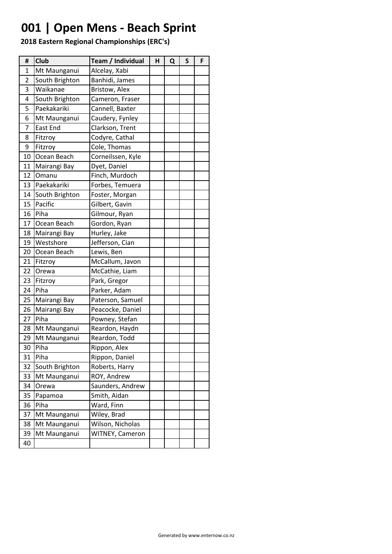# **001 | Open Mens - Beach Sprint**

| #  | Club           | Team / Individual | н | Q | S | F |
|----|----------------|-------------------|---|---|---|---|
| 1  | Mt Maunganui   | Alcelay, Xabi     |   |   |   |   |
| 2  | South Brighton | Banhidi, James    |   |   |   |   |
| 3  | Waikanae       | Bristow, Alex     |   |   |   |   |
| 4  | South Brighton | Cameron, Fraser   |   |   |   |   |
| 5  | Paekakariki    | Cannell, Baxter   |   |   |   |   |
| 6  | Mt Maunganui   | Caudery, Fynley   |   |   |   |   |
| 7  | East End       | Clarkson, Trent   |   |   |   |   |
| 8  | Fitzroy        | Codyre, Cathal    |   |   |   |   |
| 9  | Fitzroy        | Cole, Thomas      |   |   |   |   |
| 10 | Ocean Beach    | Corneilssen, Kyle |   |   |   |   |
| 11 | Mairangi Bay   | Dyet, Daniel      |   |   |   |   |
| 12 | Omanu          | Finch, Murdoch    |   |   |   |   |
| 13 | Paekakariki    | Forbes, Temuera   |   |   |   |   |
| 14 | South Brighton | Foster, Morgan    |   |   |   |   |
| 15 | Pacific        | Gilbert, Gavin    |   |   |   |   |
| 16 | Piha           | Gilmour, Ryan     |   |   |   |   |
| 17 | Ocean Beach    | Gordon, Ryan      |   |   |   |   |
| 18 | Mairangi Bay   | Hurley, Jake      |   |   |   |   |
| 19 | Westshore      | Jefferson, Cian   |   |   |   |   |
| 20 | Ocean Beach    | Lewis, Ben        |   |   |   |   |
| 21 | Fitzroy        | McCallum, Javon   |   |   |   |   |
| 22 | Orewa          | McCathie, Liam    |   |   |   |   |
| 23 | Fitzroy        | Park, Gregor      |   |   |   |   |
| 24 | Piha           | Parker, Adam      |   |   |   |   |
| 25 | Mairangi Bay   | Paterson, Samuel  |   |   |   |   |
| 26 | Mairangi Bay   | Peacocke, Daniel  |   |   |   |   |
| 27 | Piha           | Powney, Stefan    |   |   |   |   |
| 28 | Mt Maunganui   | Reardon, Haydn    |   |   |   |   |
| 29 | Mt Maunganui   | Reardon, Todd     |   |   |   |   |
| 30 | Piha           | Rippon, Alex      |   |   |   |   |
| 31 | Piha           | Rippon, Daniel    |   |   |   |   |
| 32 | South Brighton | Roberts, Harry    |   |   |   |   |
| 33 | Mt Maunganui   | ROY, Andrew       |   |   |   |   |
| 34 | Orewa          | Saunders, Andrew  |   |   |   |   |
| 35 | Papamoa        | Smith, Aidan      |   |   |   |   |
| 36 | Piha           | Ward, Finn        |   |   |   |   |
| 37 | Mt Maunganui   | Wiley, Brad       |   |   |   |   |
| 38 | Mt Maunganui   | Wilson, Nicholas  |   |   |   |   |
| 39 | Mt Maunganui   | WITNEY, Cameron   |   |   |   |   |
| 40 |                |                   |   |   |   |   |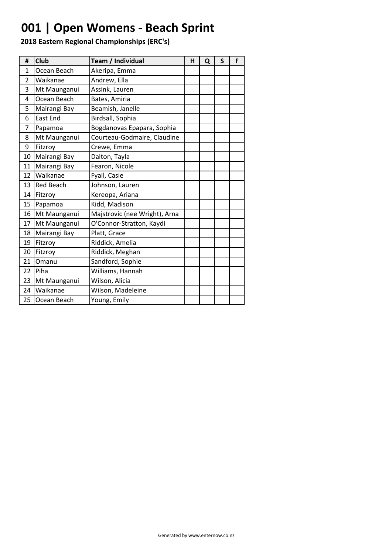### **001 | Open Womens - Beach Sprint**

| #  | <b>Club</b>      | Team / Individual             | н | Q | S | F |
|----|------------------|-------------------------------|---|---|---|---|
| 1  | Ocean Beach      | Akeripa, Emma                 |   |   |   |   |
| 2  | Waikanae         | Andrew, Ella                  |   |   |   |   |
| 3  | Mt Maunganui     | Assink, Lauren                |   |   |   |   |
| 4  | Ocean Beach      | Bates, Amiria                 |   |   |   |   |
| 5  | Mairangi Bay     | Beamish, Janelle              |   |   |   |   |
| 6  | <b>East End</b>  | Birdsall, Sophia              |   |   |   |   |
| 7  | Papamoa          | Bogdanovas Epapara, Sophia    |   |   |   |   |
| 8  | Mt Maunganui     | Courteau-Godmaire, Claudine   |   |   |   |   |
| 9  | Fitzroy          | Crewe, Emma                   |   |   |   |   |
| 10 | Mairangi Bay     | Dalton, Tayla                 |   |   |   |   |
| 11 | Mairangi Bay     | Fearon, Nicole                |   |   |   |   |
| 12 | Waikanae         | Fyall, Casie                  |   |   |   |   |
| 13 | <b>Red Beach</b> | Johnson, Lauren               |   |   |   |   |
| 14 | Fitzroy          | Kereopa, Ariana               |   |   |   |   |
| 15 | Papamoa          | Kidd, Madison                 |   |   |   |   |
| 16 | Mt Maunganui     | Majstrovic (nee Wright), Arna |   |   |   |   |
| 17 | Mt Maunganui     | O'Connor-Stratton, Kaydi      |   |   |   |   |
| 18 | Mairangi Bay     | Platt, Grace                  |   |   |   |   |
| 19 | Fitzroy          | Riddick, Amelia               |   |   |   |   |
| 20 | Fitzroy          | Riddick, Meghan               |   |   |   |   |
| 21 | Omanu            | Sandford, Sophie              |   |   |   |   |
| 22 | Piha             | Williams, Hannah              |   |   |   |   |
| 23 | Mt Maunganui     | Wilson, Alicia                |   |   |   |   |
| 24 | Waikanae         | Wilson, Madeleine             |   |   |   |   |
| 25 | Ocean Beach      | Young, Emily                  |   |   |   |   |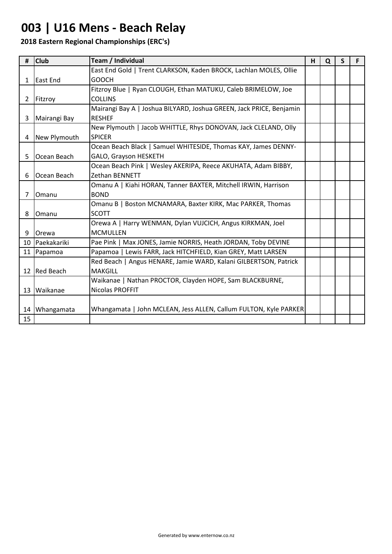### **003 | U16 Mens - Beach Relay**

| #              | <b>Club</b>    | Team / Individual                                                   | н | Q | S | F. |
|----------------|----------------|---------------------------------------------------------------------|---|---|---|----|
|                |                | East End Gold   Trent CLARKSON, Kaden BROCK, Lachlan MOLES, Ollie   |   |   |   |    |
|                | 1 East End     | <b>GOOCH</b>                                                        |   |   |   |    |
|                |                | Fitzroy Blue   Ryan CLOUGH, Ethan MATUKU, Caleb BRIMELOW, Joe       |   |   |   |    |
| $\mathbf{2}$   | Fitzroy        | <b>COLLINS</b>                                                      |   |   |   |    |
|                |                | Mairangi Bay A   Joshua BILYARD, Joshua GREEN, Jack PRICE, Benjamin |   |   |   |    |
| 3              | Mairangi Bay   | <b>RESHEF</b>                                                       |   |   |   |    |
|                |                | New Plymouth   Jacob WHITTLE, Rhys DONOVAN, Jack CLELAND, Olly      |   |   |   |    |
|                | 4 New Plymouth | <b>SPICER</b>                                                       |   |   |   |    |
|                |                | Ocean Beach Black   Samuel WHITESIDE, Thomas KAY, James DENNY-      |   |   |   |    |
| 5              | Ocean Beach    | GALO, Grayson HESKETH                                               |   |   |   |    |
|                |                | Ocean Beach Pink   Wesley AKERIPA, Reece AKUHATA, Adam BIBBY,       |   |   |   |    |
| 6              | Ocean Beach    | <b>Zethan BENNETT</b>                                               |   |   |   |    |
|                |                | Omanu A   Kiahi HORAN, Tanner BAXTER, Mitchell IRWIN, Harrison      |   |   |   |    |
| $\overline{7}$ | Omanu          | <b>BOND</b>                                                         |   |   |   |    |
|                |                | Omanu B   Boston MCNAMARA, Baxter KIRK, Mac PARKER, Thomas          |   |   |   |    |
| 8              | Omanu          | SCOTT                                                               |   |   |   |    |
|                |                | Orewa A   Harry WENMAN, Dylan VUJCICH, Angus KIRKMAN, Joel          |   |   |   |    |
| 9              | <b>Orewa</b>   | <b>MCMULLEN</b>                                                     |   |   |   |    |
| 10             | Paekakariki    | Pae Pink   Max JONES, Jamie NORRIS, Heath JORDAN, Toby DEVINE       |   |   |   |    |
|                | 11 Papamoa     | Papamoa   Lewis FARR, Jack HITCHFIELD, Kian GREY, Matt LARSEN       |   |   |   |    |
|                |                | Red Beach   Angus HENARE, Jamie WARD, Kalani GILBERTSON, Patrick    |   |   |   |    |
|                | 12 Red Beach   | <b>MAKGILL</b>                                                      |   |   |   |    |
|                |                | Waikanae   Nathan PROCTOR, Clayden HOPE, Sam BLACKBURNE,            |   |   |   |    |
|                | 13 Waikanae    | <b>Nicolas PROFFIT</b>                                              |   |   |   |    |
|                |                |                                                                     |   |   |   |    |
|                | 14 Whangamata  | Whangamata   John MCLEAN, Jess ALLEN, Callum FULTON, Kyle PARKER    |   |   |   |    |
| 15             |                |                                                                     |   |   |   |    |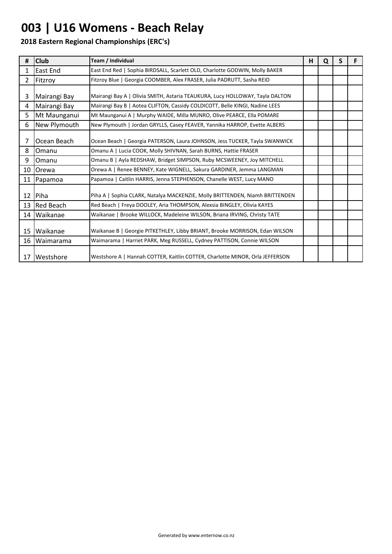# **003 | U16 Womens - Beach Relay**

| #            | <b>Club</b>        | Team / Individual                                                            | н | Q | S |  |
|--------------|--------------------|------------------------------------------------------------------------------|---|---|---|--|
| $\mathbf{1}$ | East End           | East End Red   Sophia BIRDSALL, Scarlett OLD, Charlotte GODWIN, Molly BAKER  |   |   |   |  |
| $\mathbf{2}$ | Fitzroy            | Fitzroy Blue   Georgia COOMBER, Alex FRASER, Julia PADRUTT, Sasha REID       |   |   |   |  |
| 3            | Mairangi Bay       | Mairangi Bay A   Olivia SMITH, Astaria TEAUKURA, Lucy HOLLOWAY, Tayla DALTON |   |   |   |  |
| 4            | Mairangi Bay       | Mairangi Bay B   Aotea CLIFTON, Cassidy COLDICOTT, Belle KINGI, Nadine LEES  |   |   |   |  |
| 5.           | Mt Maunganui       | Mt Maunganui A   Murphy WAIDE, Milla MUNRO, Olive PEARCE, Ella POMARE        |   |   |   |  |
| 6            | New Plymouth       | New Plymouth   Jordan GRYLLS, Casey FEAVER, Yannika HARROP, Evette ALBERS    |   |   |   |  |
| 7            | Ocean Beach        | Ocean Beach   Georgia PATERSON, Laura JOHNSON, Jess TUCKER, Tayla SWANWICK   |   |   |   |  |
| 8            | Omanu              | Omanu A   Lucia COOK, Molly SHIVNAN, Sarah BURNS, Hattie FRASER              |   |   |   |  |
| 9            | <b>Omanu</b>       | Omanu B   Ayla REDSHAW, Bridget SIMPSON, Ruby MCSWEENEY, Joy MITCHELL        |   |   |   |  |
|              | 10 Orewa           | Orewa A   Renee BENNEY, Kate WIGNELL, Sakura GARDINER, Jemma LANGMAN         |   |   |   |  |
|              | 11 Papamoa         | Papamoa   Caitlin HARRIS, Jenna STEPHENSON, Chanelle WEST, Lucy MANO         |   |   |   |  |
|              | 12 Piha            | Piha A   Sophia CLARK, Natalya MACKENZIE, Molly BRITTENDEN, Niamh BRITTENDEN |   |   |   |  |
|              | 13 Red Beach       | Red Beach   Freya DOOLEY, Aria THOMPSON, Alexsia BINGLEY, Olivia KAYES       |   |   |   |  |
|              | 14 Waikanae        | Waikanae   Brooke WILLOCK, Madeleine WILSON, Briana IRVING, Christy TATE     |   |   |   |  |
| 15           | Waikanae           | Waikanae B   Georgie PITKETHLEY, Libby BRIANT, Brooke MORRISON, Edan WILSON  |   |   |   |  |
| 16           | Waimarama          | Waimarama   Harriet PARK, Meg RUSSELL, Cydney PATTISON, Connie WILSON        |   |   |   |  |
| 17           | <b>I</b> Westshore | Westshore A   Hannah COTTER, Kaitlin COTTER, Charlotte MINOR, Orla JEFFERSON |   |   |   |  |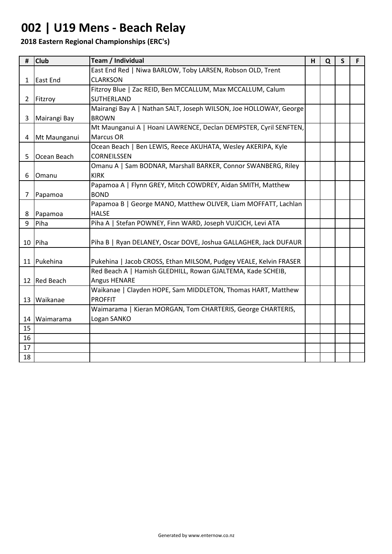### **002 | U19 Mens - Beach Relay**

| #              | <b>Club</b>    | Team / Individual                                                 | н | Q | $\mathsf{S}$ | F. |
|----------------|----------------|-------------------------------------------------------------------|---|---|--------------|----|
|                |                | East End Red   Niwa BARLOW, Toby LARSEN, Robson OLD, Trent        |   |   |              |    |
| 1              | East End       | <b>CLARKSON</b>                                                   |   |   |              |    |
|                |                | Fitzroy Blue   Zac REID, Ben MCCALLUM, Max MCCALLUM, Calum        |   |   |              |    |
| 2 <sup>1</sup> | Fitzroy        | SUTHERLAND                                                        |   |   |              |    |
|                |                | Mairangi Bay A   Nathan SALT, Joseph WILSON, Joe HOLLOWAY, George |   |   |              |    |
| 3              | Mairangi Bay   | <b>BROWN</b>                                                      |   |   |              |    |
|                |                | Mt Maunganui A   Hoani LAWRENCE, Declan DEMPSTER, Cyril SENFTEN,  |   |   |              |    |
|                | 4 Mt Maunganui | Marcus OR                                                         |   |   |              |    |
|                |                | Ocean Beach   Ben LEWIS, Reece AKUHATA, Wesley AKERIPA, Kyle      |   |   |              |    |
| 5              | Ocean Beach    | <b>CORNEILSSEN</b>                                                |   |   |              |    |
|                |                | Omanu A   Sam BODNAR, Marshall BARKER, Connor SWANBERG, Riley     |   |   |              |    |
| 6              | Omanu          | <b>KIRK</b>                                                       |   |   |              |    |
|                |                | Papamoa A   Flynn GREY, Mitch COWDREY, Aidan SMITH, Matthew       |   |   |              |    |
| 7              | Papamoa        | <b>BOND</b>                                                       |   |   |              |    |
|                |                | Papamoa B   George MANO, Matthew OLIVER, Liam MOFFATT, Lachlan    |   |   |              |    |
| 8              | Papamoa        | <b>HALSE</b>                                                      |   |   |              |    |
| 9              | Piha           | Piha A   Stefan POWNEY, Finn WARD, Joseph VUJCICH, Levi ATA       |   |   |              |    |
|                |                |                                                                   |   |   |              |    |
|                | 10 Piha        | Piha B   Ryan DELANEY, Oscar DOVE, Joshua GALLAGHER, Jack DUFAUR  |   |   |              |    |
|                |                |                                                                   |   |   |              |    |
|                | 11 Pukehina    | Pukehina   Jacob CROSS, Ethan MILSOM, Pudgey VEALE, Kelvin FRASER |   |   |              |    |
|                |                | Red Beach A   Hamish GLEDHILL, Rowan GJALTEMA, Kade SCHEIB,       |   |   |              |    |
|                | 12 Red Beach   | <b>Angus HENARE</b>                                               |   |   |              |    |
|                |                | Waikanae   Clayden HOPE, Sam MIDDLETON, Thomas HART, Matthew      |   |   |              |    |
|                | 13 Waikanae    | <b>PROFFIT</b>                                                    |   |   |              |    |
|                |                | Waimarama   Kieran MORGAN, Tom CHARTERIS, George CHARTERIS,       |   |   |              |    |
| 14             | Waimarama      | Logan SANKO                                                       |   |   |              |    |
| 15             |                |                                                                   |   |   |              |    |
| 16             |                |                                                                   |   |   |              |    |
| 17             |                |                                                                   |   |   |              |    |
| 18             |                |                                                                   |   |   |              |    |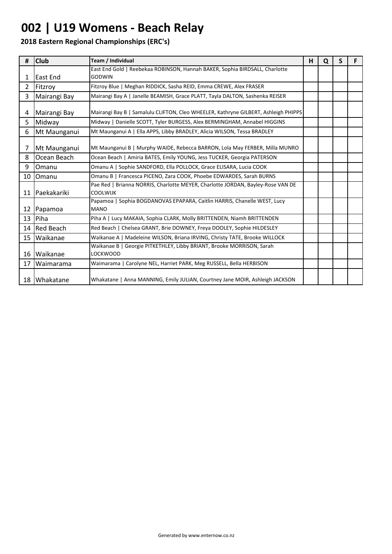# **002 | U19 Womens - Beach Relay**

| #              | <b>Club</b>    | Team / Individual                                                                                  | H | Q | S | F |
|----------------|----------------|----------------------------------------------------------------------------------------------------|---|---|---|---|
|                | East End       | East End Gold   Reebekaa ROBINSON, Hannah BAKER, Sophia BIRDSALL, Charlotte<br><b>GODWIN</b>       |   |   |   |   |
| $\mathbf{1}$   |                |                                                                                                    |   |   |   |   |
| $\mathbf{2}$   | Fitzroy        | Fitzroy Blue   Meghan RIDDICK, Sasha REID, Emma CREWE, Alex FRASER                                 |   |   |   |   |
| $\overline{3}$ | Mairangi Bay   | Mairangi Bay A   Janelle BEAMISH, Grace PLATT, Tayla DALTON, Sashenka REISER                       |   |   |   |   |
| 4              | Mairangi Bay   | Mairangi Bay B   Samalulu CLIFTON, Cleo WHEELER, Kathryne GILBERT, Ashleigh PHIPPS                 |   |   |   |   |
| 5.             | Midway         | Midway   Danielle SCOTT, Tyler BURGESS, Alex BERMINGHAM, Annabel HIGGINS                           |   |   |   |   |
| 6              | Mt Maunganui   | Mt Maunganui A   Ella APPS, Libby BRADLEY, Alicia WILSON, Tessa BRADLEY                            |   |   |   |   |
| 7              | Mt Maunganui   | Mt Maunganui B   Murphy WAIDE, Rebecca BARRON, Lola May FERBER, Milla MUNRO                        |   |   |   |   |
| 8              | Ocean Beach    | Ocean Beach   Amiria BATES, Emily YOUNG, Jess TUCKER, Georgia PATERSON                             |   |   |   |   |
| 9              | Omanu          | Omanu A   Sophie SANDFORD, Ella POLLOCK, Grace ELISARA, Lucia COOK                                 |   |   |   |   |
| 10             | Omanu          | Omanu B   Francesca PICENO, Zara COOK, Phoebe EDWARDES, Sarah BURNS                                |   |   |   |   |
|                | 11 Paekakariki | Pae Red   Brianna NORRIS, Charlotte MEYER, Charlotte JORDAN, Bayley-Rose VAN DE<br><b>COOLWIJK</b> |   |   |   |   |
|                | 12 Papamoa     | Papamoa   Sophia BOGDANOVAS EPAPARA, Caitlin HARRIS, Chanelle WEST, Lucy<br><b>MANO</b>            |   |   |   |   |
|                | 13 Piha        | Piha A   Lucy MAKAIA, Sophia CLARK, Molly BRITTENDEN, Niamh BRITTENDEN                             |   |   |   |   |
|                | 14 Red Beach   | Red Beach   Chelsea GRANT, Brie DOWNEY, Freya DOOLEY, Sophie HILDESLEY                             |   |   |   |   |
| 15             | Waikanae       | Waikanae A   Madeleine WILSON, Briana IRVING, Christy TATE, Brooke WILLOCK                         |   |   |   |   |
|                | 16 Waikanae    | Waikanae B   Georgie PITKETHLEY, Libby BRIANT, Brooke MORRISON, Sarah<br>LOCKWOOD                  |   |   |   |   |
| 17             | Waimarama      | Waimarama   Carolyne NEL, Harriet PARK, Meg RUSSELL, Bella HERBISON                                |   |   |   |   |
|                | 18 Whakatane   | Whakatane   Anna MANNING, Emily JULIAN, Courtney Jane MOIR, Ashleigh JACKSON                       |   |   |   |   |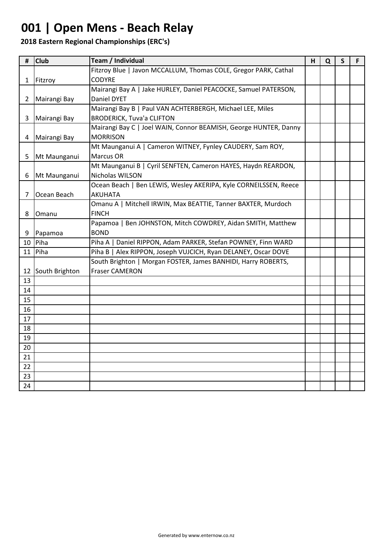### **001 | Open Mens - Beach Relay**

| #            | <b>Club</b>    | Team / Individual                                                | H | Q | $\mathsf{S}$ | F |
|--------------|----------------|------------------------------------------------------------------|---|---|--------------|---|
|              |                | Fitzroy Blue   Javon MCCALLUM, Thomas COLE, Gregor PARK, Cathal  |   |   |              |   |
| $\mathbf{1}$ | Fitzroy        | <b>CODYRE</b>                                                    |   |   |              |   |
|              |                | Mairangi Bay A   Jake HURLEY, Daniel PEACOCKE, Samuel PATERSON,  |   |   |              |   |
| $\mathbf{2}$ | Mairangi Bay   | Daniel DYET                                                      |   |   |              |   |
|              |                | Mairangi Bay B   Paul VAN ACHTERBERGH, Michael LEE, Miles        |   |   |              |   |
| 3            | Mairangi Bay   | <b>BRODERICK, Tuva'a CLIFTON</b>                                 |   |   |              |   |
|              |                | Mairangi Bay C   Joel WAIN, Connor BEAMISH, George HUNTER, Danny |   |   |              |   |
| 4            | Mairangi Bay   | <b>MORRISON</b>                                                  |   |   |              |   |
|              |                | Mt Maunganui A   Cameron WITNEY, Fynley CAUDERY, Sam ROY,        |   |   |              |   |
| 5            | Mt Maunganui   | Marcus OR                                                        |   |   |              |   |
|              |                | Mt Maunganui B   Cyril SENFTEN, Cameron HAYES, Haydn REARDON,    |   |   |              |   |
| 6            | Mt Maunganui   | Nicholas WILSON                                                  |   |   |              |   |
|              |                | Ocean Beach   Ben LEWIS, Wesley AKERIPA, Kyle CORNEILSSEN, Reece |   |   |              |   |
| 7            | Ocean Beach    | <b>AKUHATA</b>                                                   |   |   |              |   |
|              |                | Omanu A   Mitchell IRWIN, Max BEATTIE, Tanner BAXTER, Murdoch    |   |   |              |   |
| 8            | Omanu          | <b>FINCH</b>                                                     |   |   |              |   |
|              |                | Papamoa   Ben JOHNSTON, Mitch COWDREY, Aidan SMITH, Matthew      |   |   |              |   |
| 9            | Papamoa        | <b>BOND</b>                                                      |   |   |              |   |
| 10           | Piha           | Daniel RIPPON, Adam PARKER, Stefan POWNEY, Finn WARD<br>Piha A   |   |   |              |   |
| 11           | Piha           | Piha B   Alex RIPPON, Joseph VUJCICH, Ryan DELANEY, Oscar DOVE   |   |   |              |   |
|              |                | South Brighton   Morgan FOSTER, James BANHIDI, Harry ROBERTS,    |   |   |              |   |
| 12           | South Brighton | <b>Fraser CAMERON</b>                                            |   |   |              |   |
| 13           |                |                                                                  |   |   |              |   |
| 14           |                |                                                                  |   |   |              |   |
| 15           |                |                                                                  |   |   |              |   |
| 16           |                |                                                                  |   |   |              |   |
| 17           |                |                                                                  |   |   |              |   |
| 18           |                |                                                                  |   |   |              |   |
| 19           |                |                                                                  |   |   |              |   |
| 20           |                |                                                                  |   |   |              |   |
| 21           |                |                                                                  |   |   |              |   |
| 22           |                |                                                                  |   |   |              |   |
| 23           |                |                                                                  |   |   |              |   |
| 24           |                |                                                                  |   |   |              |   |